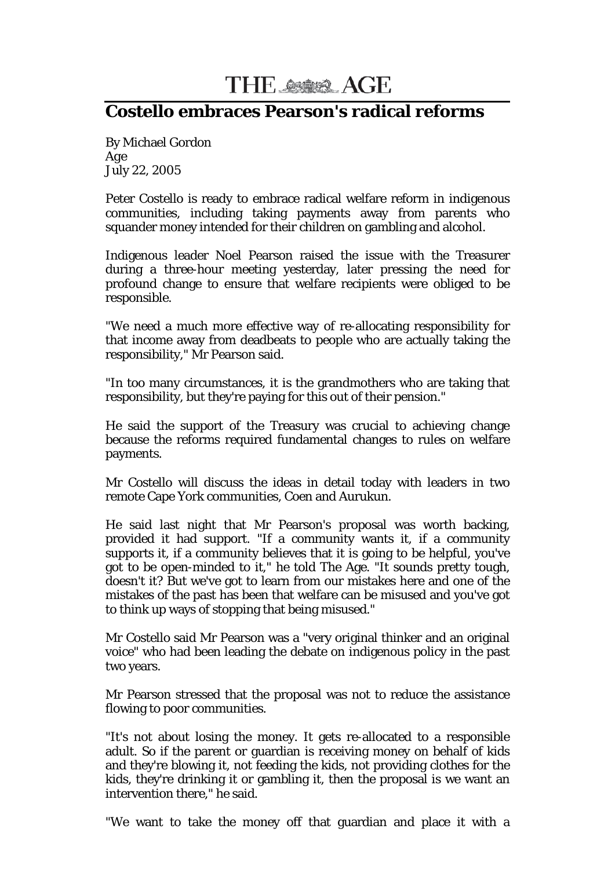THE ASSESSMENT AGE

## **Costello embraces Pearson's radical reforms**

By Michael Gordon *Age* July 22, 2005

Peter Costello is ready to embrace radical welfare reform in indigenous communities, including taking payments away from parents who squander money intended for their children on gambling and alcohol.

Indigenous leader Noel Pearson raised the issue with the Treasurer during a three-hour meeting yesterday, later pressing the need for profound change to ensure that welfare recipients were obliged to be responsible.

"We need a much more effective way of re-allocating responsibility for that income away from deadbeats to people who are actually taking the responsibility," Mr Pearson said.

"In too many circumstances, it is the grandmothers who are taking that responsibility, but they're paying for this out of their pension."

He said the support of the Treasury was crucial to achieving change because the reforms required fundamental changes to rules on welfare payments.

Mr Costello will discuss the ideas in detail today with leaders in two remote Cape York communities, Coen and Aurukun.

He said last night that Mr Pearson's proposal was worth backing, provided it had support. "If a community wants it, if a community supports it, if a community believes that it is going to be helpful, you've got to be open-minded to it," he told The Age. "It sounds pretty tough, doesn't it? But we've got to learn from our mistakes here and one of the mistakes of the past has been that welfare can be misused and you've got to think up ways of stopping that being misused."

Mr Costello said Mr Pearson was a "very original thinker and an original voice" who had been leading the debate on indigenous policy in the past two years.

Mr Pearson stressed that the proposal was not to reduce the assistance flowing to poor communities.

"It's not about losing the money. It gets re-allocated to a responsible adult. So if the parent or guardian is receiving money on behalf of kids and they're blowing it, not feeding the kids, not providing clothes for the kids, they're drinking it or gambling it, then the proposal is we want an intervention there," he said.

"We want to take the money off that guardian and place it with a